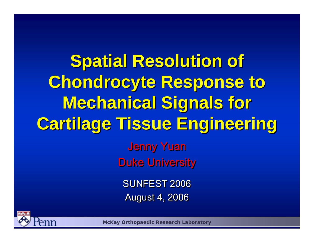**Spatial Resolution of Spatial Resolution of Chondrocyte Response to Chondrocyte Response to Mechanical Signals for Mechanical Signals for Cartilage Tissue Engineering Cartilage Tissue Engineering**  Jenny Yuan Jenny Yuan Duke University Duke University SUNFEST 2006 August 4, 2006 August 4, 2006



**McKay Orthopaedic Research Laboratory**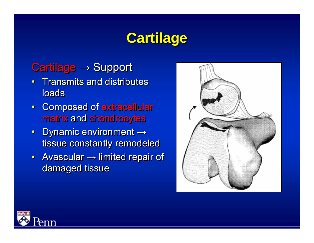# **Cartilage Cartilage**

#### Cartilage <sup>→</sup> Support Cartilage <sup>→</sup> Support

- Transmits and distributes loads • Transmits and distributes
- Composed of extracellular Composed of extracellular matrix and chondrocytes matrix and chondrocytes
- Dynamic environment <sup>→</sup> Dynamic environment <sup>→</sup> tissue constantly remodeled tissue constantly remodeled
- Avascular → limited repair of damaged tissue damaged tissue



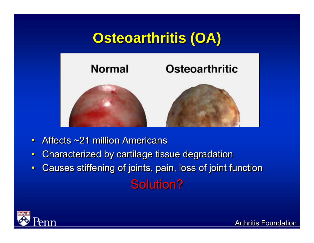# **Osteoarthritis (OA) Osteoarthritis (OA)**



- ••• Affects  $\sim$ 21 million Americans
- ••Characterized by cartilage tissue degradation Characterized by cartilage tissue degradation
- •• Causes stiffening of joints, pain, loss of joint function Causes stiffening of joints, pain, loss of joint function **Solution?**

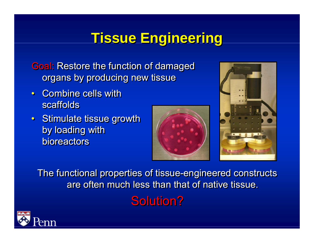# **Tissue Engineering Tissue Engineering**

**Goal: Restore the function of damaged** organs by producing new tissue organs by producing new tissue

- Combine cells with scaffolds
- Stimulate tissue growth Stimulate tissue growth by loading with by loading with bioreactors





The functional properties of tissue-engineered constructs The functional properties of tissue-engineered constructs are often much less than that of native tissue. **Solution?** 

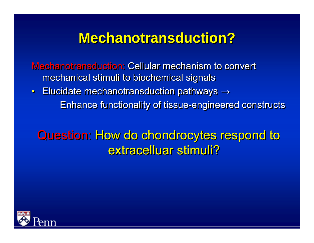# **Mechanotransduction? Mechanotransduction?**

Mechanotransduction: Cellular mechanism to convert mechanical stimuli to biochemical signals mechanical stimuli to biochemical signals

 $\bullet$  Elucidate mechanotransduction pathways  $\rightarrow$ Enhance functionality of tissue-engineered constructs Enhance functionality of tissue-engineered constructs • Elucidate mechanotransduction pathways  $\rightarrow$ 

### Question: How do chondrocytes respond to Question: How do chondrocytes respond to extracelluar stimuli?

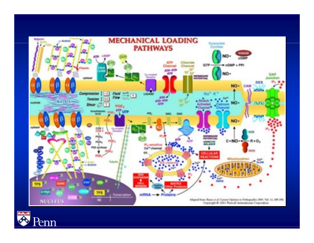

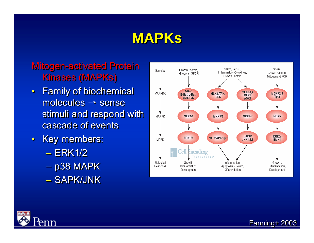# **MAPKs**

#### Mitogen-activated Protein Mitogen-activated Protein Kinases (MAPKs) Kinases (MAPKs)

- Family of biochemical Family of biochemical molecules → sense molecules → sense stimuli and respond with stimuli and respond with cascade of events
- Key members: Key members:
	- ERK1/2– ERK1/2
	- p38 MAPK p38 MAPK
	- SAPK/JNK



 $Fanning+ 2003$ 

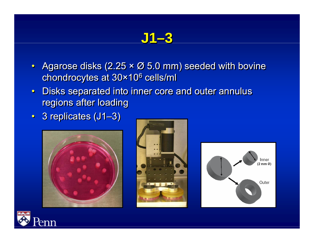# **J1–3**

- •• Agarose disks (2.25 × Ø 5.0 mm) seeded with bovine Agarose disks (2.25 × Ø 5.0 mm) seeded with bovine chondrocytes at 30×106 cells/ml chondrocytes at 30×106 cells/ml
- •• Disks separated into inner core and outer annulus Disks separated into inner core and outer annulus regions after loading regions after loading
- 3 replicates (J1–3) 3 replicates (J1–3)







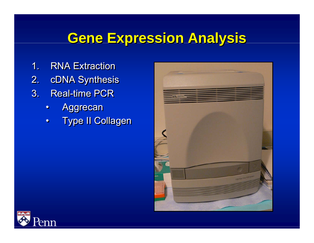# **Gene Expression Analysis Gene Expression Analysis**

- 1. RNA Extraction
- 2. cDNA Synthesis 2. cDNA Synthesis
- 3. Real-time PCR
	- ••Aggrecan Aggrecan
	- ••Type II Collagen Type II Collagen



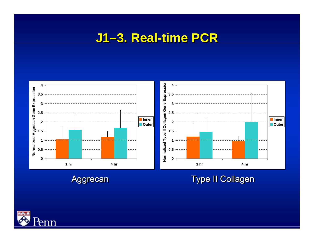#### **J1–3. Real-time PCR J1–3. Real-time PCR**



#### Aggrecan Aggrecan Type II Collagen Type II Collagen

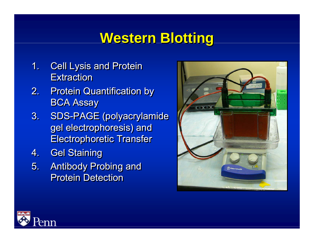# **Western Blotting Western Blotting**

- 1. Cell Lysis and Protein 1. Cell Lysis and Protein Extraction
- 2. Protein Quantification by 2. Protein Quantification by BCA Assay BCA Assay
- 3. SDS-PAGE (polyacrylamide 3. SDS-PAGE (polyacrylamide gel electrophoresis) and gel electrophoresis) and Electrophoretic Transfer Electrophoretic Transfer
- 4. Gel Staining 4. Gel Staining
- 5. Antibody Probing and 5. Antibody Probing and Protein Detection



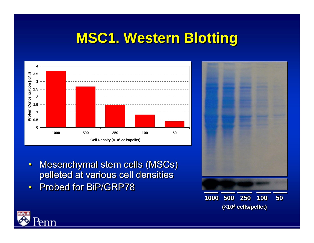# **MSC1. Western Blotting MSC1. Western Blotting**



- •• Mesenchymal stem cells (MSCs) Mesenchymal stem cells (MSCs) pelleted at various cell densities pelleted at various cell densities
- ••• Probed for BiP/GRP78



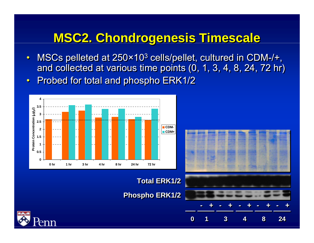### **MSC2. Chondrogenesis Timescale MSC2. Chondrogenesis Timescale**

- ••• MSCs pelleted at 250×10<sup>3</sup> cells/pellet, cultured in CDM-/+, and collected at various time points (0, 1, 3, 4, 8, 24, 72 hr) and collected at various time points (0, 1, 3, 4, 8, 24, 72 hr)
- ••Probed for total and phospho ERK1/2 Probed for total and phospho ERK1/2



**Total ERK1/2 Total ERK1/2**

**00**

**11**

**33**

**Phospho ERK1/2 Phospho ERK1/2**



**44**

**88**

**2424**

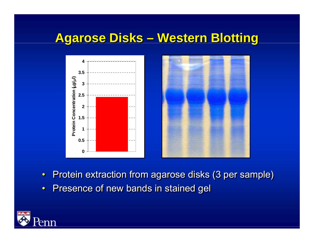#### **Agarose Disks – Western Blotting Agarose Disks – Western Blotting**



- ••Protein extraction from agarose disks (3 per sample) Protein extraction from agarose disks (3 per sample)
- ••Presence of new bands in stained gel Presence of new bands in stained gel

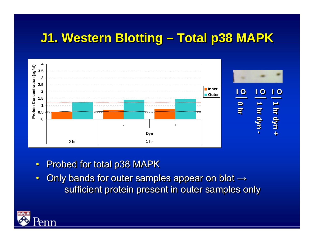### **J1. Western Blotting – Total p38 MAPK J1. Western Blotting – Total p38 MAPK**



- ••• Probed for total p38 MAPK
- ••• Only bands for outer samples appear on blot  $\rightarrow$ sufficient protein present in outer samples only sufficient protein present in outer samples only

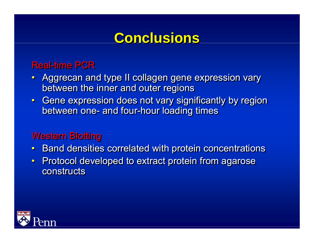## **Conclusions Conclusions**

#### **Real-time PCR**

- •• Aggrecan and type II collagen gene expression vary Aggrecan and type II collagen gene expression vary between the inner and outer regions between the inner and outer regions
- Gene expression does not vary significantly by region Gene expression does not vary significantly by region between one- and four-hour loading times between one- and four-hour loading times

#### Western Blotting Western Blotting

- ••Band densities correlated with protein concentrations Band densities correlated with protein concentrations
- •• Protocol developed to extract protein from agarose Protocol developed to extract protein from agarose constructs

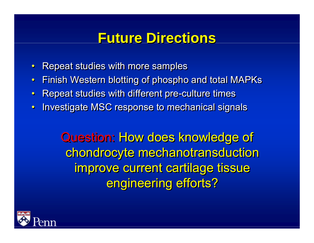### **Future Directions Future Directions**

- ••Repeat studies with more samples Repeat studies with more samples
- ••Finish Western blotting of phospho and total MAPKs Finish Western blotting of phospho and total MAPKs
- ••Repeat studies with different pre-culture times Repeat studies with different pre-culture times
- ••Investigate MSC response to mechanical signals Investigate MSC response to mechanical signals

Question: How does knowledge of Question: How does knowledge of chondrocyte mechanotransduction chondrocyte mechanotransduction improve current cartilage tissue improve current cartilage tissue engineering efforts? engineering efforts?